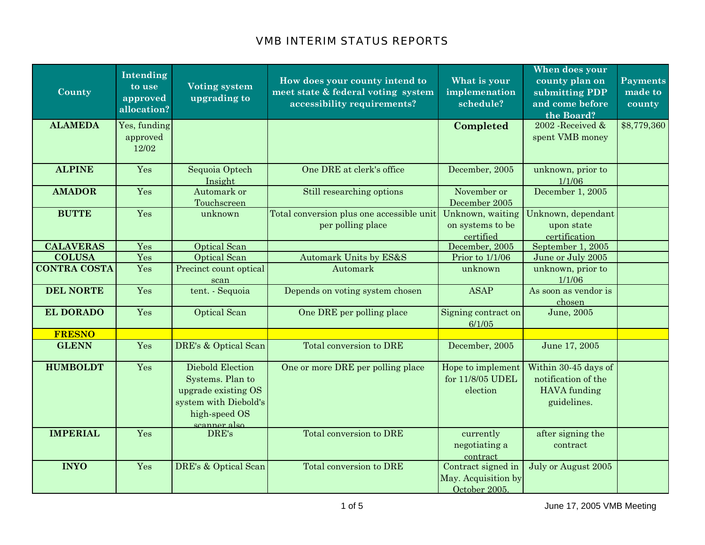| County              | Intending<br>to use<br>approved<br>allocation? | <b>Voting system</b><br>upgrading to                                                                  | How does your county intend to<br>meet state & federal voting system<br>accessibility requirements? | What is your<br>implemenation<br>schedule?                 | When does your<br>county plan on<br>submitting PDP<br>and come before<br>the Board? | <b>Payments</b><br>made to<br>county |
|---------------------|------------------------------------------------|-------------------------------------------------------------------------------------------------------|-----------------------------------------------------------------------------------------------------|------------------------------------------------------------|-------------------------------------------------------------------------------------|--------------------------------------|
| <b>ALAMEDA</b>      | Yes, funding<br>approved<br>12/02              |                                                                                                       |                                                                                                     | Completed                                                  | 2002 Received &<br>spent VMB money                                                  | \$8,779,360                          |
| <b>ALPINE</b>       | Yes                                            | Sequoia Optech<br>Insight                                                                             | One DRE at clerk's office                                                                           | December, 2005                                             | unknown, prior to<br>1/1/06                                                         |                                      |
| <b>AMADOR</b>       | Yes                                            | Automark or<br>Touchscreen                                                                            | Still researching options                                                                           | November or<br>December 2005                               | December 1, 2005                                                                    |                                      |
| <b>BUTTE</b>        | Yes                                            | unknown                                                                                               | Total conversion plus one accessible unit<br>per polling place                                      | Unknown, waiting<br>on systems to be<br>certified          | Unknown, dependant<br>upon state<br>certification                                   |                                      |
| <b>CALAVERAS</b>    | Yes                                            | <b>Optical Scan</b>                                                                                   |                                                                                                     | December, 2005                                             | September 1, 2005                                                                   |                                      |
| <b>COLUSA</b>       | Yes                                            | Optical Scan                                                                                          | Automark Units by ES&S                                                                              | Prior to 1/1/06                                            | June or July 2005                                                                   |                                      |
| <b>CONTRA COSTA</b> | Yes                                            | Precinct count optical<br>scan                                                                        | Automark                                                                                            | unknown                                                    | unknown, prior to<br>1/1/06                                                         |                                      |
| <b>DEL NORTE</b>    | Yes                                            | tent. - Sequoia                                                                                       | Depends on voting system chosen                                                                     | <b>ASAP</b>                                                | As soon as vendor is<br>chosen                                                      |                                      |
| <b>EL DORADO</b>    | Yes                                            | <b>Optical Scan</b>                                                                                   | One DRE per polling place                                                                           | Signing contract on<br>6/1/05                              | June, 2005                                                                          |                                      |
| <b>FRESNO</b>       |                                                |                                                                                                       |                                                                                                     |                                                            |                                                                                     |                                      |
| <b>GLENN</b>        | Yes                                            | DRE's & Optical Scan                                                                                  | Total conversion to DRE                                                                             | December, 2005                                             | June 17, 2005                                                                       |                                      |
| <b>HUMBOLDT</b>     | Yes                                            | Diebold Election<br>Systems. Plan to<br>upgrade existing OS<br>system with Diebold's<br>high-speed OS | One or more DRE per polling place                                                                   | Hope to implement<br>for 11/8/05 UDEL<br>election          | Within 30-45 days of<br>notification of the<br>HAVA funding<br>guidelines.          |                                      |
| <b>IMPERIAL</b>     | Yes                                            | scanner also<br>DRE's                                                                                 | Total conversion to DRE                                                                             | currently<br>negotiating a<br>contract                     | after signing the<br>contract                                                       |                                      |
| <b>INYO</b>         | Yes                                            | DRE's & Optical Scan                                                                                  | Total conversion to DRE                                                                             | Contract signed in<br>May. Acquisition by<br>October 2005. | July or August 2005                                                                 |                                      |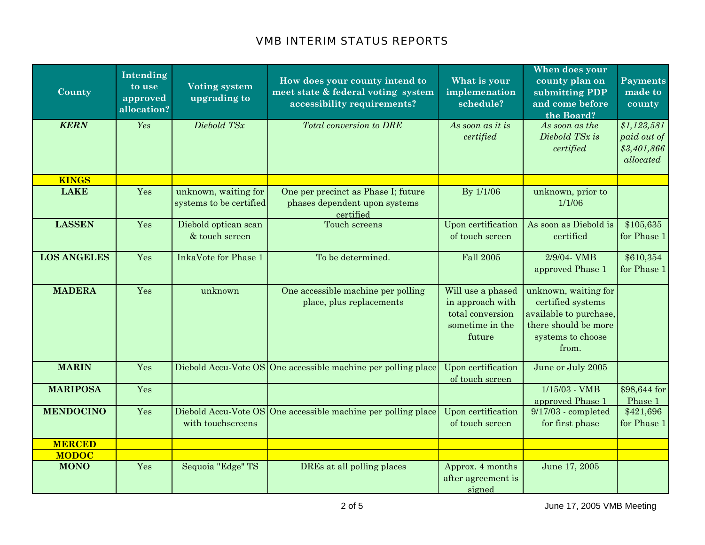| County             | Intending<br>to use<br>approved<br>allocation? | <b>Voting system</b><br>upgrading to            | How does your county intend to<br>meet state & federal voting system<br>accessibility requirements? | What is your<br>implemenation<br>schedule?                                             | When does your<br>county plan on<br>submitting PDP<br>and come before<br>the Board?                                       | <b>Payments</b><br>made to<br>county                   |
|--------------------|------------------------------------------------|-------------------------------------------------|-----------------------------------------------------------------------------------------------------|----------------------------------------------------------------------------------------|---------------------------------------------------------------------------------------------------------------------------|--------------------------------------------------------|
| <b>KERN</b>        | Yes                                            | Diebold TSx                                     | <b>Total conversion to DRE</b>                                                                      | As soon as it is<br>certified                                                          | As soon as the<br>Diebold TSx is<br>certified                                                                             | \$1,123,581<br>paid out of<br>\$3,401,866<br>allocated |
| <b>KINGS</b>       |                                                |                                                 |                                                                                                     |                                                                                        |                                                                                                                           |                                                        |
| <b>LAKE</b>        | Yes                                            | unknown, waiting for<br>systems to be certified | One per precinct as Phase I; future<br>phases dependent upon systems<br>certified                   | By 1/1/06                                                                              | unknown, prior to<br>1/1/06                                                                                               |                                                        |
| <b>LASSEN</b>      | Yes                                            | Diebold optican scan<br>& touch screen          | Touch screens                                                                                       | Upon certification<br>of touch screen                                                  | As soon as Diebold is<br>certified                                                                                        | \$105,635<br>for Phase 1                               |
| <b>LOS ANGELES</b> | Yes                                            | <b>InkaVote for Phase 1</b>                     | To be determined.                                                                                   | <b>Fall 2005</b>                                                                       | 2/9/04- VMB<br>approved Phase 1                                                                                           | \$610,354<br>for Phase 1                               |
| <b>MADERA</b>      | Yes                                            | unknown                                         | One accessible machine per polling<br>place, plus replacements                                      | Will use a phased<br>in approach with<br>total conversion<br>sometime in the<br>future | unknown, waiting for<br>certified systems<br>available to purchase,<br>there should be more<br>systems to choose<br>from. |                                                        |
| <b>MARIN</b>       | Yes                                            |                                                 | Diebold Accu-Vote OS One accessible machine per polling place                                       | Upon certification<br>of touch screen                                                  | June or July 2005                                                                                                         |                                                        |
| <b>MARIPOSA</b>    | Yes                                            |                                                 |                                                                                                     |                                                                                        | $1/15/03$ - VMB<br>approved Phase 1                                                                                       | \$98,644 for<br>Phase 1                                |
| <b>MENDOCINO</b>   | Yes                                            | with touchscreens                               | Diebold Accu-Vote OS One accessible machine per polling place                                       | Upon certification<br>of touch screen                                                  | $9/17/03$ - completed<br>for first phase                                                                                  | \$421,696<br>for Phase 1                               |
| <b>MERCED</b>      |                                                |                                                 |                                                                                                     |                                                                                        |                                                                                                                           |                                                        |
| <b>MODOC</b>       |                                                |                                                 |                                                                                                     |                                                                                        |                                                                                                                           |                                                        |
| <b>MONO</b>        | Yes                                            | Sequoia "Edge" TS                               | DREs at all polling places                                                                          | Approx. 4 months<br>after agreement is<br>signed                                       | June 17, 2005                                                                                                             |                                                        |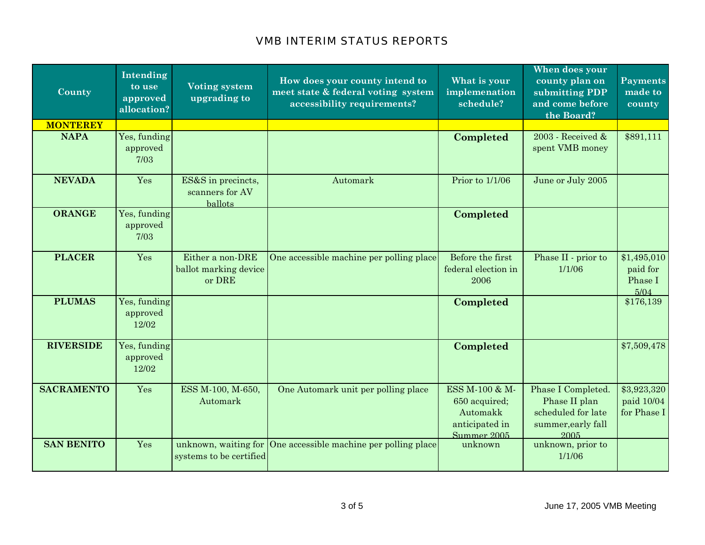| County            | Intending<br>to use<br>approved<br>allocation? | <b>Voting system</b><br>upgrading to                | How does your county intend to<br>meet state & federal voting system<br>accessibility requirements? | What is your<br>implemenation<br>schedule?                                   | When does your<br>county plan on<br>submitting PDP<br>and come before<br>the Board?     | <b>Payments</b><br>made to<br>county       |
|-------------------|------------------------------------------------|-----------------------------------------------------|-----------------------------------------------------------------------------------------------------|------------------------------------------------------------------------------|-----------------------------------------------------------------------------------------|--------------------------------------------|
| <b>MONTEREY</b>   |                                                |                                                     |                                                                                                     |                                                                              |                                                                                         |                                            |
| <b>NAPA</b>       | Yes, funding<br>approved<br>7/03               |                                                     |                                                                                                     | Completed                                                                    | 2003 - Received &<br>spent VMB money                                                    | \$891,111                                  |
| <b>NEVADA</b>     | Yes                                            | ES&S in precincts,<br>scanners for AV<br>ballots    | Automark                                                                                            | Prior to 1/1/06                                                              | June or July 2005                                                                       |                                            |
| <b>ORANGE</b>     | Yes, funding<br>approved<br>7/03               |                                                     |                                                                                                     | Completed                                                                    |                                                                                         |                                            |
| <b>PLACER</b>     | Yes                                            | Either a non-DRE<br>ballot marking device<br>or DRE | One accessible machine per polling place                                                            | Before the first<br>federal election in<br>2006                              | Phase II - prior to<br>1/1/06                                                           | \$1,495,010<br>paid for<br>Phase I<br>5/04 |
| <b>PLUMAS</b>     | Yes, funding<br>approved<br>12/02              |                                                     |                                                                                                     | Completed                                                                    |                                                                                         | \$176,139                                  |
| <b>RIVERSIDE</b>  | Yes, funding<br>approved<br>12/02              |                                                     |                                                                                                     | Completed                                                                    |                                                                                         | \$7,509,478                                |
| <b>SACRAMENTO</b> | Yes                                            | ESS M-100, M-650,<br>Automark                       | One Automark unit per polling place                                                                 | ESS M-100 & M-<br>650 acquired;<br>Automakk<br>anticipated in<br>Summer 2005 | Phase I Completed.<br>Phase II plan<br>scheduled for late<br>summer, early fall<br>2005 | \$3,923,320<br>paid 10/04<br>for Phase I   |
| <b>SAN BENITO</b> | Yes                                            | systems to be certified                             | unknown, waiting for One accessible machine per polling place                                       | unknown                                                                      | unknown, prior to<br>1/1/06                                                             |                                            |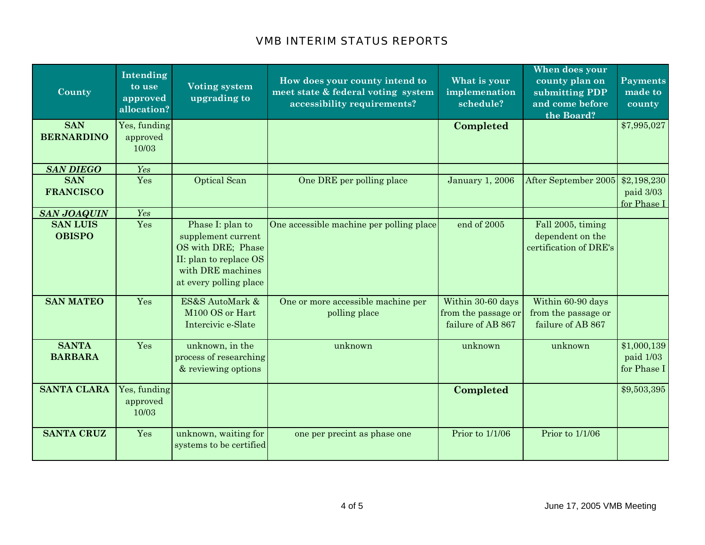| County                                                 | Intending<br>to use<br>approved<br>allocation? | <b>Voting system</b><br>upgrading to                                                                                                  | How does your county intend to<br>meet state & federal voting system<br>accessibility requirements? | What is your<br>implemenation<br>schedule?                    | When does your<br>county plan on<br>submitting PDP<br>and come before<br>the Board? | Payments<br>made to<br>county           |
|--------------------------------------------------------|------------------------------------------------|---------------------------------------------------------------------------------------------------------------------------------------|-----------------------------------------------------------------------------------------------------|---------------------------------------------------------------|-------------------------------------------------------------------------------------|-----------------------------------------|
| <b>SAN</b><br><b>BERNARDINO</b>                        | Yes, funding<br>approved<br>10/03              |                                                                                                                                       |                                                                                                     | Completed                                                     |                                                                                     | \$7,995,027                             |
| <b>SAN DIEGO</b><br><b>SAN</b><br><b>FRANCISCO</b>     | Yes<br>Yes                                     | <b>Optical Scan</b>                                                                                                                   | One DRE per polling place                                                                           | <b>January 1, 2006</b>                                        | After September 2005                                                                | \$2,198,230<br>paid 3/03<br>for Phase I |
| <b>SAN JOAQUIN</b><br><b>SAN LUIS</b><br><b>OBISPO</b> | Yes<br>Yes                                     | Phase I: plan to<br>supplement current<br>OS with DRE; Phase<br>II: plan to replace OS<br>with DRE machines<br>at every polling place | One accessible machine per polling place                                                            | end of 2005                                                   | Fall 2005, timing<br>dependent on the<br>certification of DRE's                     |                                         |
| <b>SAN MATEO</b>                                       | Yes                                            | ES&S AutoMark &<br>M100 OS or Hart<br>Intercivic e-Slate                                                                              | One or more accessible machine per<br>polling place                                                 | Within 30-60 days<br>from the passage or<br>failure of AB 867 | Within 60-90 days<br>from the passage or<br>failure of AB 867                       |                                         |
| <b>SANTA</b><br><b>BARBARA</b>                         | Yes                                            | unknown, in the<br>process of researching<br>& reviewing options                                                                      | unknown                                                                                             | unknown                                                       | unknown                                                                             | \$1,000,139<br>paid 1/03<br>for Phase I |
| <b>SANTA CLARA</b>                                     | Yes, funding<br>approved<br>10/03              |                                                                                                                                       |                                                                                                     | Completed                                                     |                                                                                     | \$9,503,395                             |
| <b>SANTA CRUZ</b>                                      | Yes                                            | unknown, waiting for<br>systems to be certified                                                                                       | one per precint as phase one                                                                        | Prior to 1/1/06                                               | Prior to 1/1/06                                                                     |                                         |